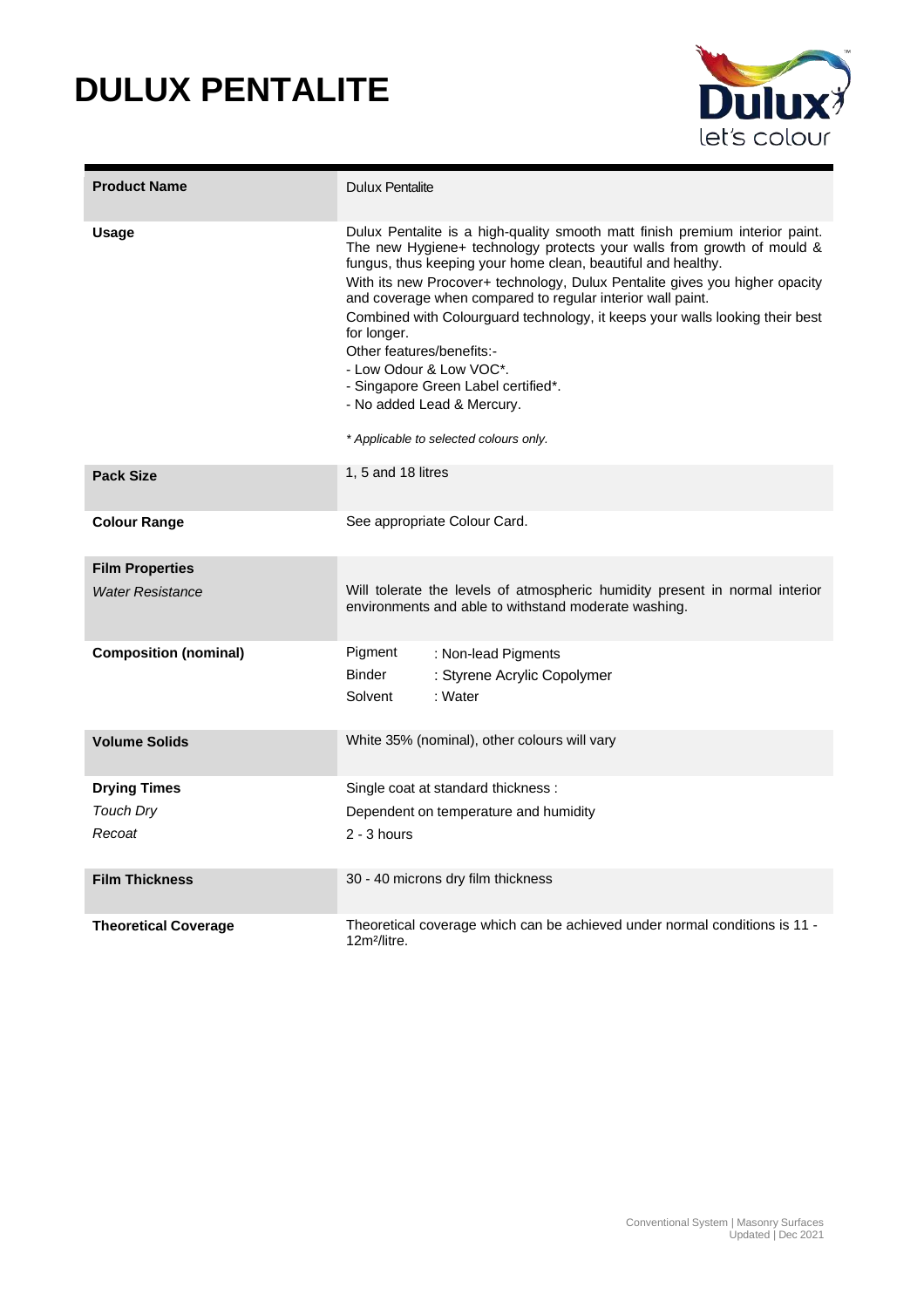## **DULUX PENTALITE**



| <b>Product Name</b>          | <b>Dulux Pentalite</b>                                                                                                                                                                                                                                                                                                                                                                                                                                                                                                                                                                                                                    |  |
|------------------------------|-------------------------------------------------------------------------------------------------------------------------------------------------------------------------------------------------------------------------------------------------------------------------------------------------------------------------------------------------------------------------------------------------------------------------------------------------------------------------------------------------------------------------------------------------------------------------------------------------------------------------------------------|--|
| <b>Usage</b>                 | Dulux Pentalite is a high-quality smooth matt finish premium interior paint.<br>The new Hygiene+ technology protects your walls from growth of mould &<br>fungus, thus keeping your home clean, beautiful and healthy.<br>With its new Procover+ technology, Dulux Pentalite gives you higher opacity<br>and coverage when compared to regular interior wall paint.<br>Combined with Colourguard technology, it keeps your walls looking their best<br>for longer.<br>Other features/benefits:-<br>- Low Odour & Low VOC*.<br>- Singapore Green Label certified*.<br>- No added Lead & Mercury.<br>* Applicable to selected colours only. |  |
| <b>Pack Size</b>             | 1, 5 and 18 litres                                                                                                                                                                                                                                                                                                                                                                                                                                                                                                                                                                                                                        |  |
| <b>Colour Range</b>          | See appropriate Colour Card.                                                                                                                                                                                                                                                                                                                                                                                                                                                                                                                                                                                                              |  |
| <b>Film Properties</b>       |                                                                                                                                                                                                                                                                                                                                                                                                                                                                                                                                                                                                                                           |  |
| <b>Water Resistance</b>      | Will tolerate the levels of atmospheric humidity present in normal interior<br>environments and able to withstand moderate washing.                                                                                                                                                                                                                                                                                                                                                                                                                                                                                                       |  |
| <b>Composition (nominal)</b> | Pigment<br>: Non-lead Pigments                                                                                                                                                                                                                                                                                                                                                                                                                                                                                                                                                                                                            |  |
|                              | <b>Binder</b><br>: Styrene Acrylic Copolymer                                                                                                                                                                                                                                                                                                                                                                                                                                                                                                                                                                                              |  |
|                              | : Water<br>Solvent                                                                                                                                                                                                                                                                                                                                                                                                                                                                                                                                                                                                                        |  |
| <b>Volume Solids</b>         | White 35% (nominal), other colours will vary                                                                                                                                                                                                                                                                                                                                                                                                                                                                                                                                                                                              |  |
| <b>Drying Times</b>          | Single coat at standard thickness:                                                                                                                                                                                                                                                                                                                                                                                                                                                                                                                                                                                                        |  |
| Touch Dry                    | Dependent on temperature and humidity                                                                                                                                                                                                                                                                                                                                                                                                                                                                                                                                                                                                     |  |
| Recoat                       | $2 - 3$ hours                                                                                                                                                                                                                                                                                                                                                                                                                                                                                                                                                                                                                             |  |
| <b>Film Thickness</b>        | 30 - 40 microns dry film thickness                                                                                                                                                                                                                                                                                                                                                                                                                                                                                                                                                                                                        |  |
| <b>Theoretical Coverage</b>  | Theoretical coverage which can be achieved under normal conditions is 11 -<br>12m <sup>2</sup> /litre.                                                                                                                                                                                                                                                                                                                                                                                                                                                                                                                                    |  |